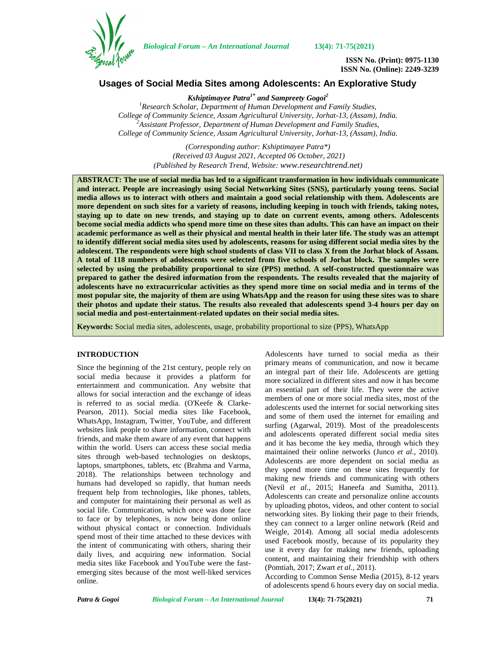

*Biological Forum – An International Journal* **13(4): 71-75(2021)**

**ISSN No. (Print): 0975-1130 ISSN No. (Online): 2249-3239**

# **Usages of Social Media Sites among Adolescents: An Explorative Study**

*Kshiptimayee Patra1\* and Sampreety Gogoi<sup>2</sup>*

*<sup>1</sup>Research Scholar, Department of Human Development and Family Studies, College of Community Science, Assam Agricultural University, Jorhat-13, (Assam), India. <sup>2</sup>Assistant Professor, Department of Human Development and Family Studies, College of Community Science, Assam Agricultural University, Jorhat-13, (Assam), India.*

> *(Corresponding author: Kshiptimayee Patra\*) (Received 03 August 2021, Accepted 06 October, 2021) (Published by Research Trend, Website: <www.researchtrend.net>)*

**ABSTRACT: The use of social media has led to a significant transformation in how individuals communicate and interact. People are increasingly using Social Networking Sites (SNS), particularly young teens. Social media allows us to interact with others and maintain a good social relationship with them. Adolescents are more dependent on such sites for a variety of reasons, including keeping in touch with friends, taking notes, staying up to date on new trends, and staying up to date on current events, among others. Adolescents become social media addicts who spend more time on these sites than adults. This can have an impact on their academic performance as well as their physical and mental health in their later life. The study was an attempt to identify different social media sites used by adolescents, reasons for using different social media sites by the adolescent. The respondents were high school students of class VII to class X from the Jorhat block of Assam. A total of 118 numbers of adolescents were selected from five schools of Jorhat block. The samples were selected by using the probability proportional to size (PPS) method. A self-constructed questionnaire was prepared to gather the desired information from the respondents. The results revealed that the majority of adolescents have no extracurricular activities as they spend more time on social media and in terms of the most popular site, the majority of them are using WhatsApp and the reason for using these sites was to share their photos and update their status. The results also revealed that adolescents spend 3-4 hours per day on social media and post-entertainment-related updates on their social media sites.**

**Keywords:** Social media sites, adolescents, usage, probability proportional to size (PPS), WhatsApp

#### **INTRODUCTION**

Since the beginning of the 21st century, people rely on social media because it provides a platform for entertainment and communication. Any website that allows for social interaction and the exchange of ideas is referred to as social media. (O'Keefe & Clarke- Pearson, 2011). Social media sites like Facebook, WhatsApp, Instagram, Twitter, YouTube, and different websites link people to share information, connect with friends, and make them aware of any event that happens within the world. Users can access these social media sites through web-based technologies on desktops, laptops, smartphones, tablets, etc (Brahma and Varma, 2018). The relationships between technology and humans had developed so rapidly, that human needs frequent help from technologies, like phones, tablets, and computer for maintaining their personal as well as social life. Communication, which once was done face to face or by telephones, is now being done online without physical contact or connection. Individuals spend most of their time attached to these devices with the intent of communicating with others, sharing their daily lives, and acquiring new information. Social media sites like Facebook and YouTube were the fast emerging sites because of the most well-liked services online.

Adolescents have turned to social media as their primary means of communication, and now it became an integral part of their life. Adolescents are getting more socialized in different sites and now it has become an essential part of their life. They were the active members of one or more social media sites, most of the adolescents used the internet for social networking sites and some of them used the internet for emailing and surfing (Agarwal, 2019). Most of the preadolescents and adolescents operated different social media sites and it has become the key media, through which they maintained their online networks (Junco *et al*., 2010). Adolescents are more dependent on social media as they spend more time on these sites frequently for making new friends and communicating with others (Nevil *et al*., 2015; Haneefa and Sumitha, 2011). Adolescents can create and personalize online accounts by uploading photos, videos, and other content to social networking sites. By linking their page to their friends, they can connect to a larger online network (Reid and Weigle, 2014). Among all social media adolescents used Facebook mostly, because of its popularity they use it every day for making new friends, uploading content, and maintaining their friendship with others (Pomtiah, 2017; Zwart *et al*., 2011).

According to Common Sense Media (2015), 8-12 years of adolescents spend 6 hours every day on social media.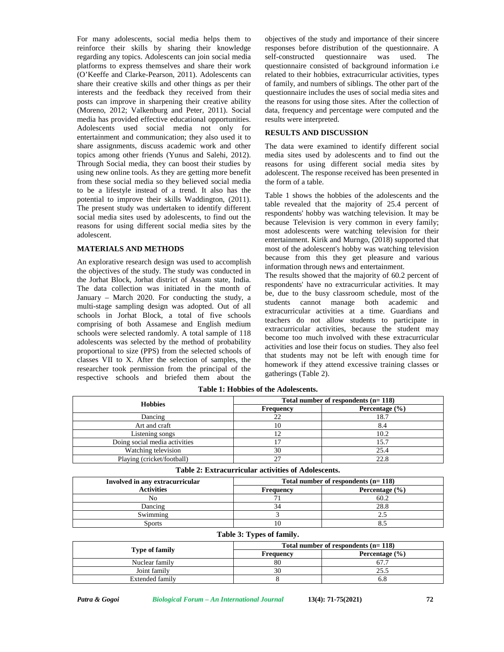For many adolescents, social media helps them to reinforce their skills by sharing their knowledge regarding any topics. Adolescents can join social media platforms to express themselves and share their work (O'Keeffe and Clarke-Pearson, 2011). Adolescents can share their creative skills and other things as per their interests and the feedback they received from their posts can improve in sharpening their creative ability (Moreno, 2012; Valkenburg and Peter, 2011). Social media has provided effective educational opportunities. Adolescents used social media not only for entertainment and communication; they also used it to share assignments, discuss academic work and other topics among other friends (Yunus and Salehi, 2012). Through Social media, they can boost their studies by using new online tools. As they are getting more benefit from these social media so they believed social media to be a lifestyle instead of a trend. It also has the potential to improve their skills Waddington, (2011). The present study was undertaken to identify different social media sites used by adolescents, to find out the reasons for using different social media sites by the adolescent.

### **MATERIALS AND METHODS**

An explorative research design was used to accomplish the objectives of the study. The study was conducted in the Jorhat Block, Jorhat district of Assam state, India. The data collection was initiated in the month of January – March 2020. For conducting the study, a multi-stage sampling design was adopted. Out of all schools in Jorhat Block, a total of five schools comprising of both Assamese and English medium schools were selected randomly. A total sample of 118 adolescents was selected by the method of probability proportional to size (PPS) from the selected schools of classes VII to X. After the selection of samples, the researcher took permission from the principal of the respective schools and briefed them about the

objectives of the study and importance of their sincere responses before distribution of the questionnaire. A questionnaire was used. The questionnaire consisted of background information i.e related to their hobbies, extracurricular activities, types of family, and numbers of siblings. The other part of the questionnaire includes the uses of social media sites and the reasons for using those sites. After the collection of data, frequency and percentage were computed and the results were interpreted.

#### **RESULTS AND DISCUSSION**

The data were examined to identify different social media sites used by adolescents and to find out the reasons for using different social media sites by adolescent. The response received has been presented in the form of a table.

Table 1 shows the hobbies of the adolescents and the table revealed that the majority of 25.4 percent of respondents' hobby was watching television. It may be because Television is very common in every family; most adolescents were watching television for their entertainment. Kirik and Murngo, (2018) supported that most of the adolescent's hobby was watching television because from this they get pleasure and various information through news and entertainment.

The results showed that the majority of 60.2 percent of respondents' have no extracurricular activities. It may be, due to the busy classroom schedule, most of the students cannot manage both academic and extracurricular activities at a time. Guardians and teachers do not allow students to participate in extracurricular activities, because the student may become too much involved with these extracurricular activities and lose their focus on studies. They also feel that students may not be left with enough time for homework if they attend excessive training classes or gatherings (Table 2).

| <b>Hobbies</b>                | Total number of respondents $(n=118)$ |                    |  |
|-------------------------------|---------------------------------------|--------------------|--|
|                               | Frequency                             | Percentage $(\% )$ |  |
| Dancing                       |                                       | 18.7               |  |
| Art and craft                 | 10                                    | 8.4                |  |
| Listening songs               |                                       | 10.2               |  |
| Doing social media activities |                                       | 15.7               |  |
| Watching television           | 30                                    | 25.4               |  |
| Playing (cricket/football)    |                                       | 22.8               |  |

**Table 1: Hobbies of the Adolescents.**

| Involved in any extracurricular | Total number of respondents $(n=118)$ |                    |
|---------------------------------|---------------------------------------|--------------------|
| <b>Activities</b>               | Frequency                             | Percentage $(\% )$ |
| No                              |                                       | 60.2               |
| Dancing                         |                                       | 28.8               |
| Swimming                        |                                       | _                  |
| Sports                          |                                       |                    |

**Table 2: Extracurricular activities of Adolescents.**

# **Table 3: Types of family.**

|                       | Total number of respondents $(n=118)$ |                    |  |
|-----------------------|---------------------------------------|--------------------|--|
| <b>Type of family</b> | Frequency                             | Percentage $(\% )$ |  |
| Nuclear family        | 80                                    | 67.′               |  |
| Joint family          | 30                                    | 25.5               |  |
| Extended family       |                                       |                    |  |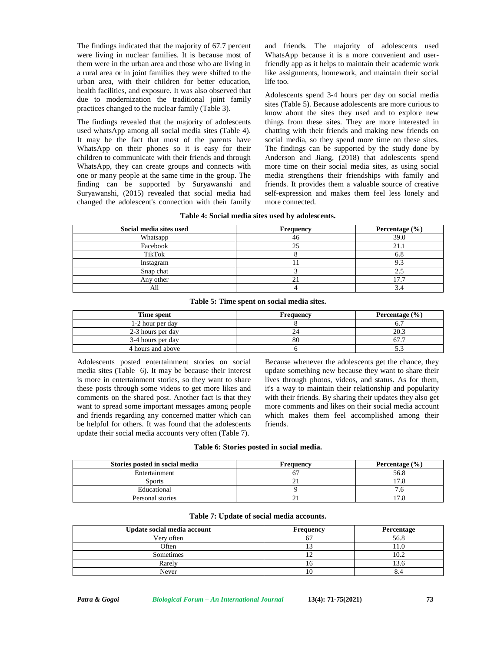The findings indicated that the majority of 67.7 percent were living in nuclear families. It is because most of them were in the urban area and those who are living in a rural area or in joint families they were shifted to the urban area, with their children for better education, health facilities, and exposure. It was also observed that due to modernization the traditional joint family practices changed to the nuclear family (Table 3).

The findings revealed that the majority of adolescents used whatsApp among all social media sites (Table 4). It may be the fact that most of the parents have WhatsApp on their phones so it is easy for their children to communicate with their friends and through WhatsApp, they can create groups and connects with one or many people at the same time in the group. The finding can be supported by Suryawanshi and Suryawanshi, (2015) revealed that social media had changed the adolescent's connection with their family

and friends. The majority of adolescents used WhatsApp because it is a more convenient and userfriendly app as it helps to maintain their academic work like assignments, homework, and maintain their social life too.

Adolescents spend 3-4 hours per day on social media sites (Table 5). Because adolescents are more curious to know about the sites they used and to explore new things from these sites. They are more interested in chatting with their friends and making new friends on social media, so they spend more time on these sites. The findings can be supported by the study done by Anderson and Jiang, (2018) that adolescents spend more time on their social media sites, as using social media strengthens their friendships with family and friends. It provides them a valuable source of creative self-expression and makes them feel less lonely and more connected.

| Social media sites used | Frequency   | Percentage $(\% )$ |
|-------------------------|-------------|--------------------|
| Whatsapp                | 46          | 39.0               |
| Facebook                | $\bigcap$   | 21.1               |
| <b>TikTok</b>           |             | 6.8                |
| Instagram               |             |                    |
| Snap chat               |             |                    |
| Any other               | $\sim$<br>∠ |                    |
| All                     |             |                    |

#### **Table 4: Social media sites used by adolescents.**

| <b>Time spent</b> | Frequency | Percentage $(\% )$ |
|-------------------|-----------|--------------------|
| 1-2 hour per day  |           |                    |
| 2-3 hours per day |           | 20.3               |
| 3-4 hours per day | 80        |                    |
| 4 hours and above |           |                    |

Adolescents posted entertainment stories on social media sites (Table 6). It may be because their interest is more in entertainment stories, so they want to share these posts through some videos to get more likes and comments on the shared post. Another fact is that they want to spread some important messages among people and friends regarding any concerned matter which can be helpful for others. It was found that the adolescents update their social media accounts very often (Table 7).

Because whenever the adolescents get the chance, they update something new because they want to share their lives through photos, videos, and status. As for them, it's a way to maintain their relationship and popularity with their friends. By sharing their updates they also get more comments and likes on their social media account which makes them feel accomplished among their friends.

#### **Table 6: Stories posted in social media.**

| Stories posted in social media | Frequency | Percentage $(\% )$ |
|--------------------------------|-----------|--------------------|
| Entertainment                  |           | 56.8               |
| Sports                         |           |                    |
| Educational                    |           |                    |
| Personal stories               |           |                    |

| Update social media account | <b>Frequency</b> | Percentage |
|-----------------------------|------------------|------------|
| Very often                  |                  | 56.8       |
| Often                       |                  |            |
| Sometimes                   |                  | 0.2        |
| Rarely                      | . C D            |            |
| Never                       | .                |            |

#### **Table 7: Update of social media accounts.**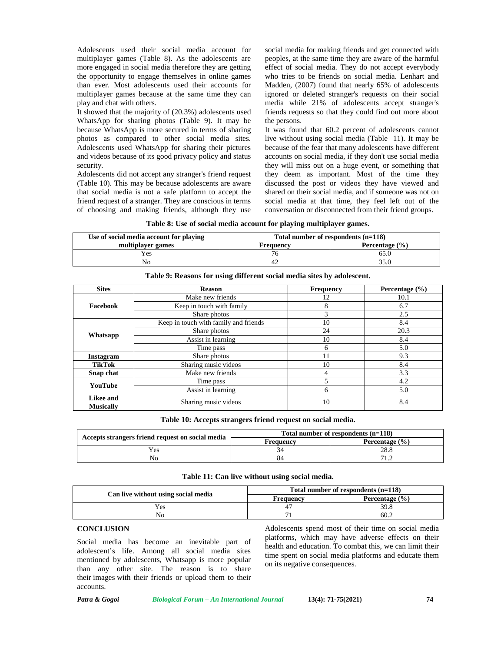Adolescents used their social media account for multiplayer games (Table 8). As the adolescents are more engaged in social media therefore they are getting the opportunity to engage themselves in online games than ever. Most adolescents used their accounts for multiplayer games because at the same time they can play and chat with others.

It showed that the majority of (20.3%) adolescents used WhatsApp for sharing photos (Table 9). It may be because WhatsApp is more secured in terms of sharing photos as compared to other social media sites. Adolescents used WhatsApp for sharing their pictures and videos because of its good privacy policy and status security.

Adolescents did not accept any stranger's friend request (Table 10). This may be because adolescents are aware that social media is not a safe platform to accept the friend request of a stranger. They are conscious in terms of choosing and making friends, although they use

social media for making friends and get connected with peoples, at the same time they are aware of the harmful effect of social media. They do not accept everybody who tries to be friends on social media. Lenhart and Madden, (2007) found that nearly 65% of adolescents ignored or deleted stranger's requests on their social media while 21% of adolescents accept stranger's friends requests so that they could find out more about the persons.

It was found that 60.2 percent of adolescents cannot live without using social media (Table 11). It may be because of the fear that many adolescents have different accounts on social media, if they don't use social media they will miss out on a huge event, or something that they deem as important. Most of the time they discussed the post or videos they have viewed and shared on their social media, and if someone was not on social media at that time, they feel left out of the conversation or disconnected from their friend groups.

| Use of social media account for playing | Total number of respondents $(n=118)$ |                    |
|-----------------------------------------|---------------------------------------|--------------------|
| multiplayer games                       | Frequency                             | Percentage $(\% )$ |
| Yes                                     |                                       |                    |
| No                                      |                                       |                    |

| <b>Sites</b>                  | <b>Reason</b>                         | <b>Frequency</b> | Percentage $(\% )$ |
|-------------------------------|---------------------------------------|------------------|--------------------|
|                               | Make new friends                      | 12               | 10.1               |
| Facebook                      | Keep in touch with family             | 8                | 6.7                |
|                               | Share photos                          | 3                | 2.5                |
|                               | Keep in touch with family and friends | 10               | 8.4                |
|                               | Share photos                          | 24               | 20.3               |
| Whatsapp                      | Assist in learning                    | 10               | 8.4                |
|                               | Time pass                             | 6                | 5.0                |
| <b>Instagram</b>              | Share photos                          | 11               | 9.3                |
| <b>TikTok</b>                 | Sharing music videos                  | 10               | 8.4                |
| Snap chat                     | Make new friends                      | 4                | 3.3                |
|                               | Time pass                             |                  | 4.2                |
| YouTube                       | Assist in learning                    | 6                | 5.0                |
| Likee and<br><b>Musically</b> | Sharing music videos                  | 10               | 8.4                |

**Table 9: Reasons for using different social media sites by adolescent.**

**Table 10: Accepts strangers friend request on social media.**

|                                                  | Total number of respondents $(n=118)$ |                    |  |
|--------------------------------------------------|---------------------------------------|--------------------|--|
| Accepts strangers friend request on social media | Frequencv                             | Percentage $(\% )$ |  |
| r es                                             |                                       |                    |  |
| Nο                                               |                                       |                    |  |

**Table 11: Can live without using social media.**

| Can live without using social media | Total number of respondents (n=118) |                    |
|-------------------------------------|-------------------------------------|--------------------|
|                                     | Frequencv                           | Percentage $(\% )$ |
| Y es                                |                                     | 39.8               |
|                                     |                                     | 60.2               |

# **CONCLUSION**

Social media has become an inevitable part of adolescent's life. Among all social media sites mentioned by adolescents, Whatsapp is more popular than any other site. The reason is to share their images with their friends or upload them to their accounts.

Adolescents spend most of their time on social media platforms, which may have adverse effects on their health and education. To combat this, we can limit their time spent on social media platforms and educate them on its negative consequences.